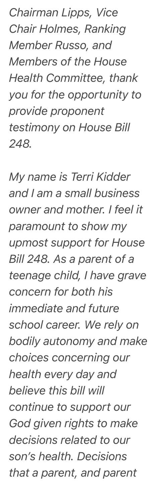*Chairman Lipps, Vice Chair Holmes, Ranking Member Russo, and Members of the House Health Committee, thank you for the opportunity to provide proponent testimony on House Bill 248.*

*My name is Terri Kidder and I am a small business owner and mother. I feel it paramount to show my upmost support for House Bill 248. As a parent of a teenage child, I have grave concern for both his immediate and future school career. We rely on bodily autonomy and make choices concerning our health every day and believe this bill will continue to support our God given rights to make decisions related to our son's health. Decisions that a parent, and parent*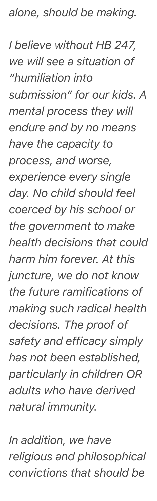*alone, should be making.* 

*I believe without HB 247, we will see a situation of "humiliation into submission" for our kids. A mental process they will endure and by no means have the capacity to process, and worse, experience every single day. No child should feel coerced by his school or the government to make health decisions that could harm him forever. At this juncture, we do not know the future ramifications of making such radical health decisions. The proof of safety and efficacy simply has not been established, particularly in children OR adults who have derived natural immunity.* 

*In addition, we have religious and philosophical convictions that should be*